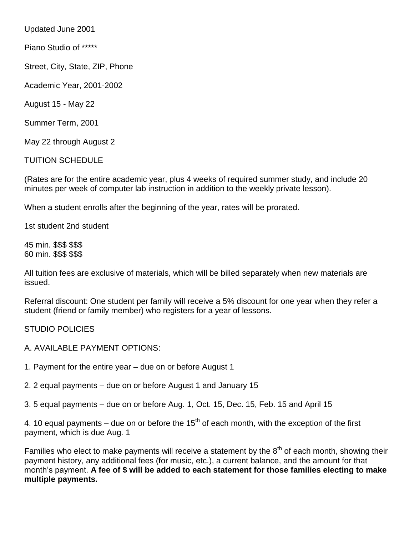Updated June 2001

Piano Studio of \*\*\*\*\*

Street, City, State, ZIP, Phone

Academic Year, 2001-2002

August 15 - May 22

Summer Term, 2001

May 22 through August 2

TUITION SCHEDULE

(Rates are for the entire academic year, plus 4 weeks of required summer study, and include 20 minutes per week of computer lab instruction in addition to the weekly private lesson).

When a student enrolls after the beginning of the year, rates will be prorated.

1st student 2nd student

45 min. \$\$\$ \$\$\$ 60 min. \$\$\$ \$\$\$

All tuition fees are exclusive of materials, which will be billed separately when new materials are issued.

Referral discount: One student per family will receive a 5% discount for one year when they refer a student (friend or family member) who registers for a year of lessons.

STUDIO POLICIES

- A. AVAILABLE PAYMENT OPTIONS:
- 1. Payment for the entire year due on or before August 1
- 2. 2 equal payments due on or before August 1 and January 15
- 3. 5 equal payments due on or before Aug. 1, Oct. 15, Dec. 15, Feb. 15 and April 15

4. 10 equal payments – due on or before the  $15<sup>th</sup>$  of each month, with the exception of the first payment, which is due Aug. 1

Families who elect to make payments will receive a statement by the  $8<sup>th</sup>$  of each month, showing their payment history, any additional fees (for music, etc.), a current balance, and the amount for that month's payment. **A fee of \$ will be added to each statement for those families electing to make multiple payments.**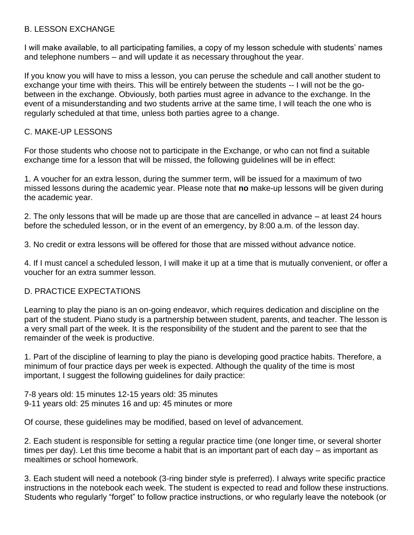## B. LESSON EXCHANGE

I will make available, to all participating families, a copy of my lesson schedule with students' names and telephone numbers – and will update it as necessary throughout the year.

If you know you will have to miss a lesson, you can peruse the schedule and call another student to exchange your time with theirs. This will be entirely between the students -- I will not be the gobetween in the exchange. Obviously, both parties must agree in advance to the exchange. In the event of a misunderstanding and two students arrive at the same time, I will teach the one who is regularly scheduled at that time, unless both parties agree to a change.

## C. MAKE-UP LESSONS

For those students who choose not to participate in the Exchange, or who can not find a suitable exchange time for a lesson that will be missed, the following guidelines will be in effect:

1. A voucher for an extra lesson, during the summer term, will be issued for a maximum of two missed lessons during the academic year. Please note that **no** make-up lessons will be given during the academic year.

2. The only lessons that will be made up are those that are cancelled in advance – at least 24 hours before the scheduled lesson, or in the event of an emergency, by 8:00 a.m. of the lesson day.

3. No credit or extra lessons will be offered for those that are missed without advance notice.

4. If I must cancel a scheduled lesson, I will make it up at a time that is mutually convenient, or offer a voucher for an extra summer lesson.

## D. PRACTICE EXPECTATIONS

Learning to play the piano is an on-going endeavor, which requires dedication and discipline on the part of the student. Piano study is a partnership between student, parents, and teacher. The lesson is a very small part of the week. It is the responsibility of the student and the parent to see that the remainder of the week is productive.

1. Part of the discipline of learning to play the piano is developing good practice habits. Therefore, a minimum of four practice days per week is expected. Although the quality of the time is most important, I suggest the following guidelines for daily practice:

7-8 years old: 15 minutes 12-15 years old: 35 minutes 9-11 years old: 25 minutes 16 and up: 45 minutes or more

Of course, these guidelines may be modified, based on level of advancement.

2. Each student is responsible for setting a regular practice time (one longer time, or several shorter times per day). Let this time become a habit that is an important part of each day – as important as mealtimes or school homework.

3. Each student will need a notebook (3-ring binder style is preferred). I always write specific practice instructions in the notebook each week. The student is expected to read and follow these instructions. Students who regularly "forget" to follow practice instructions, or who regularly leave the notebook (or